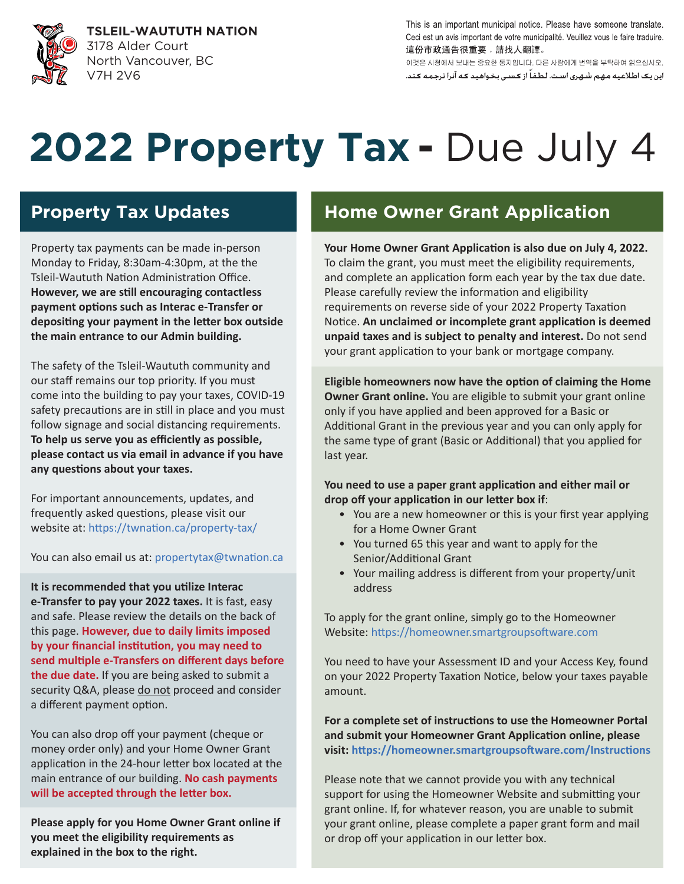

**TSLEIL-WAUTUTH NATION** 3178 Alder Court North Vancouver, BC V7H 2V6

This is an important municipal notice. Please have someone translate. Ceci est un avis important de votre municipalité. Veuillez vous le faire traduire. 這份市政通告很重要,請找人翻譯。

이것은 시청에서 보내는 중요한 통지입니다. 다른 사람에게 번역을 부탁하여 읽으십시오. این یک اطلاعیه مهم شهری است. لطفاً از کسی بخواهید که آنرا ترجمه کند.

# 2022 Property Tax - Due July 4

Property tax payments can be made in-person Monday to Friday, 8:30am-4:30pm, at the the Tsleil-Waututh Nation Administration Office. **However, we are s�ll encouraging contactless**  payment options such as Interac e-Transfer or depositing your payment in the letter box outside **the main entrance to our Admin building.**

The safety of the Tsleil-Waututh community and our staff remains our top priority. If you must come into the building to pay your taxes, COVID-19 safety precautions are in still in place and you must follow signage and social distancing requirements. **To help us serve you as efficiently as possible, please contact us via email in advance if you have**  any questions about your taxes.

For important announcements, updates, and frequently asked questions, please visit our website at: https://twnation.ca/property-tax/

You can also email us at: propertytax@twnation.ca

It is recommended that you utilize Interac **e-Transfer to pay your 2022 taxes.** It is fast, easy and safe. Please review the details on the back of this page. **However, due to daily limits imposed**  by your financial institution, you may need to send multiple e-Transfers on different days before **the due date.** If you are being asked to submit a security Q&A, please do not proceed and consider a different payment option.

You can also drop off your payment (cheque or money order only) and your Home Owner Grant application in the 24-hour letter box located at the main entrance of our building. **No cash payments**  will be accepted through the letter box.

**Please apply for you Home Owner Grant online if you meet the eligibility requirements as explained in the box to the right.**

# **Property Tax Updates Home Owner Grant Application**

Your Home Owner Grant Application is also due on July 4, 2022. To claim the grant, you must meet the eligibility requirements, and complete an application form each year by the tax due date. Please carefully review the information and eligibility requirements on reverse side of your 2022 Property Taxation Notice. An unclaimed or incomplete grant application is deemed **unpaid taxes and is subject to penalty and interest.** Do not send your grant application to your bank or mortgage company.

**Eligible homeowners now have the option of claiming the Home Owner Grant online.** You are eligible to submit your grant online only if you have applied and been approved for a Basic or Additional Grant in the previous year and you can only apply for the same type of grant (Basic or Additional) that you applied for last year.

You need to use a paper grant application and either mail or drop off your application in our letter box if:

- You are a new homeowner or this is your first year applying for a Home Owner Grant
- You turned 65 this year and want to apply for the Senior/Additional Grant
- Your mailing address is different from your property/unit address

To apply for the grant online, simply go to the Homeowner Website: https://homeowner.smartgroupsoftware.com

You need to have your Assessment ID and your Access Key, found on your 2022 Property Taxation Notice, below your taxes payable amount.

For a complete set of instructions to use the Homeowner Portal and submit your Homeowner Grant Application online, please visit: https://homeowner.smartgroupsoftware.com/Instructions

Please note that we cannot provide you with any technical support for using the Homeowner Website and submitting your grant online. If, for whatever reason, you are unable to submit your grant online, please complete a paper grant form and mail or drop off your application in our letter box.